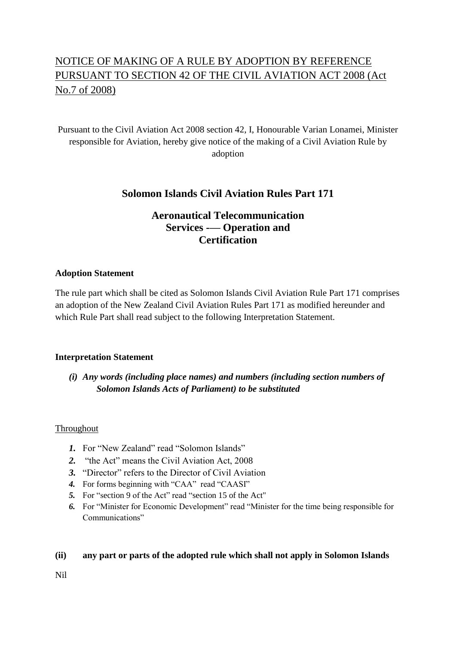# NOTICE OF MAKING OF A RULE BY ADOPTION BY REFERENCE PURSUANT TO SECTION 42 OF THE CIVIL AVIATION ACT 2008 (Act No.7 of 2008)

Pursuant to the Civil Aviation Act 2008 section 42, I, Honourable Varian Lonamei, Minister responsible for Aviation, hereby give notice of the making of a Civil Aviation Rule by adoption

# **Solomon Islands Civil Aviation Rules Part 171**

# **Aeronautical Telecommunication Services -— Operation and Certification**

#### **Adoption Statement**

The rule part which shall be cited as Solomon Islands Civil Aviation Rule Part 171 comprises an adoption of the New Zealand Civil Aviation Rules Part 171 as modified hereunder and which Rule Part shall read subject to the following Interpretation Statement.

### **Interpretation Statement**

### *(i) Any words (including place names) and numbers (including section numbers of Solomon Islands Acts of Parliament) to be substituted*

#### Throughout

- *1.* For "New Zealand" read "Solomon Islands"
- *2.* "the Act" means the Civil Aviation Act, 2008
- *3.* "Director" refers to the Director of Civil Aviation
- *4.* For forms beginning with "CAA" read "CAASI"
- *5.* For "section 9 of the Act" read "section 15 of the Act"
- *6.* For "Minister for Economic Development" read "Minister for the time being responsible for Communications"

#### **(ii) any part or parts of the adopted rule which shall not apply in Solomon Islands**

Nil